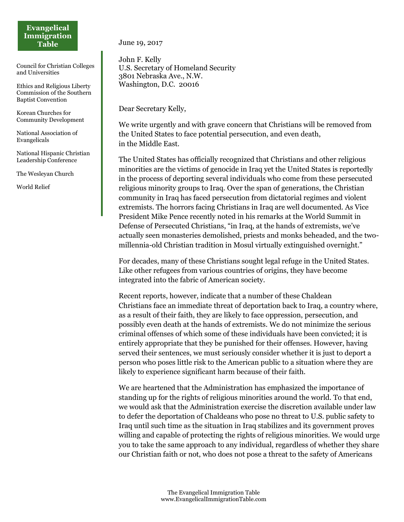## **Evangelical Immigration Table**

Council for Christian Colleges and Universities

Ethics and Religious Liberty Commission of the Southern Baptist Convention

Korean Churches for Community Development

National Association of Evangelicals

National Hispanic Christian Leadership Conference

The Wesleyan Church

World Relief

June 19, 2017

John F. Kelly U.S. Secretary of Homeland Security 3801 Nebraska Ave., N.W. Washington, D.C. 20016

Dear Secretary Kelly,

We write urgently and with grave concern that Christians will be removed from the United States to face potential persecution, and even death, in the Middle East.

The United States has officially recognized that Christians and other religious minorities are the victims of genocide in Iraq yet the United States is reportedly in the process of deporting several individuals who come from these persecuted religious minority groups to Iraq. Over the span of generations, the Christian community in Iraq has faced persecution from dictatorial regimes and violent extremists. The horrors facing Christians in Iraq are well documented. As Vice President Mike Pence recently noted in his remarks at the World Summit in Defense of Persecuted Christians, "in Iraq, at the hands of extremists, we've actually seen monasteries demolished, priests and monks beheaded, and the twomillennia-old Christian tradition in Mosul virtually extinguished overnight."

For decades, many of these Christians sought legal refuge in the United States. Like other refugees from various countries of origins, they have become integrated into the fabric of American society.

Recent reports, however, indicate that a number of these Chaldean Christians face an immediate threat of deportation back to Iraq, a country where, as a result of their faith, they are likely to face oppression, persecution, and possibly even death at the hands of extremists. We do not minimize the serious criminal offenses of which some of these individuals have been convicted; it is entirely appropriate that they be punished for their offenses. However, having served their sentences, we must seriously consider whether it is just to deport a person who poses little risk to the American public to a situation where they are likely to experience significant harm because of their faith.

We are heartened that the Administration has emphasized the importance of standing up for the rights of religious minorities around the world. To that end, we would ask that the Administration exercise the discretion available under law to defer the deportation of Chaldeans who pose no threat to U.S. public safety to Iraq until such time as the situation in Iraq stabilizes and its government proves willing and capable of protecting the rights of religious minorities. We would urge you to take the same approach to any individual, regardless of whether they share our Christian faith or not, who does not pose a threat to the safety of Americans